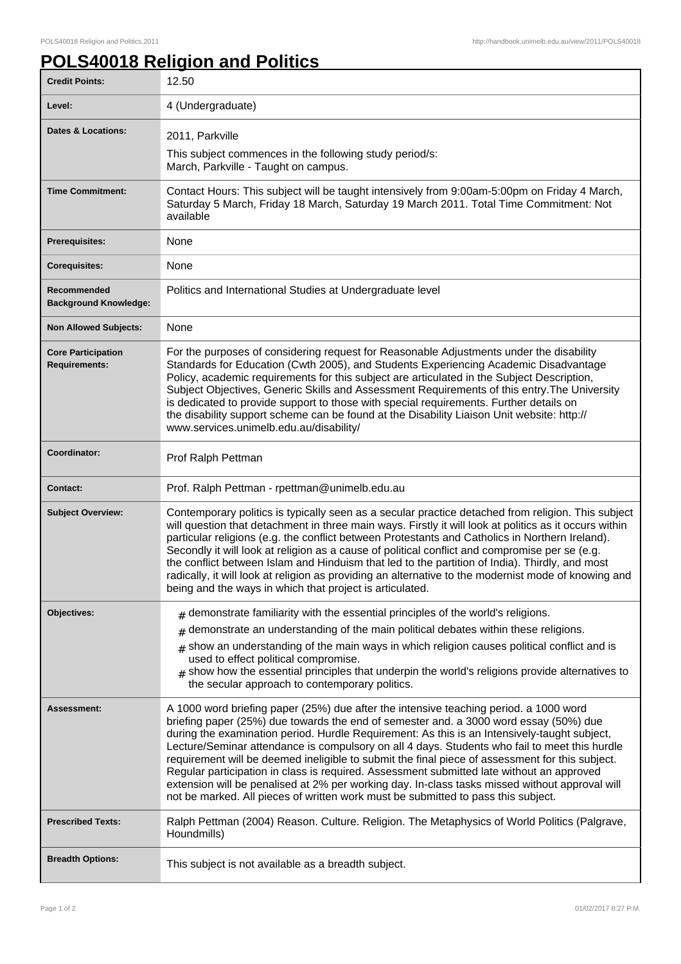## **POLS40018 Religion and Politics**

| <b>Credit Points:</b>                             | 12.50                                                                                                                                                                                                                                                                                                                                                                                                                                                                                                                                                                                                                                                                                                                                                                  |
|---------------------------------------------------|------------------------------------------------------------------------------------------------------------------------------------------------------------------------------------------------------------------------------------------------------------------------------------------------------------------------------------------------------------------------------------------------------------------------------------------------------------------------------------------------------------------------------------------------------------------------------------------------------------------------------------------------------------------------------------------------------------------------------------------------------------------------|
| Level:                                            | 4 (Undergraduate)                                                                                                                                                                                                                                                                                                                                                                                                                                                                                                                                                                                                                                                                                                                                                      |
| Dates & Locations:                                | 2011, Parkville<br>This subject commences in the following study period/s:<br>March, Parkville - Taught on campus.                                                                                                                                                                                                                                                                                                                                                                                                                                                                                                                                                                                                                                                     |
| <b>Time Commitment:</b>                           | Contact Hours: This subject will be taught intensively from 9:00am-5:00pm on Friday 4 March,<br>Saturday 5 March, Friday 18 March, Saturday 19 March 2011. Total Time Commitment: Not<br>available                                                                                                                                                                                                                                                                                                                                                                                                                                                                                                                                                                     |
| <b>Prerequisites:</b>                             | None                                                                                                                                                                                                                                                                                                                                                                                                                                                                                                                                                                                                                                                                                                                                                                   |
| <b>Corequisites:</b>                              | None                                                                                                                                                                                                                                                                                                                                                                                                                                                                                                                                                                                                                                                                                                                                                                   |
| Recommended<br><b>Background Knowledge:</b>       | Politics and International Studies at Undergraduate level                                                                                                                                                                                                                                                                                                                                                                                                                                                                                                                                                                                                                                                                                                              |
| <b>Non Allowed Subjects:</b>                      | None                                                                                                                                                                                                                                                                                                                                                                                                                                                                                                                                                                                                                                                                                                                                                                   |
| <b>Core Participation</b><br><b>Requirements:</b> | For the purposes of considering request for Reasonable Adjustments under the disability<br>Standards for Education (Cwth 2005), and Students Experiencing Academic Disadvantage<br>Policy, academic requirements for this subject are articulated in the Subject Description,<br>Subject Objectives, Generic Skills and Assessment Requirements of this entry. The University<br>is dedicated to provide support to those with special requirements. Further details on<br>the disability support scheme can be found at the Disability Liaison Unit website: http://<br>www.services.unimelb.edu.au/disability/                                                                                                                                                       |
| Coordinator:                                      | Prof Ralph Pettman                                                                                                                                                                                                                                                                                                                                                                                                                                                                                                                                                                                                                                                                                                                                                     |
| <b>Contact:</b>                                   | Prof. Ralph Pettman - rpettman@unimelb.edu.au                                                                                                                                                                                                                                                                                                                                                                                                                                                                                                                                                                                                                                                                                                                          |
| <b>Subject Overview:</b>                          | Contemporary politics is typically seen as a secular practice detached from religion. This subject<br>will question that detachment in three main ways. Firstly it will look at politics as it occurs within<br>particular religions (e.g. the conflict between Protestants and Catholics in Northern Ireland).<br>Secondly it will look at religion as a cause of political conflict and compromise per se (e.g.<br>the conflict between Islam and Hinduism that led to the partition of India). Thirdly, and most<br>radically, it will look at religion as providing an alternative to the modernist mode of knowing and<br>being and the ways in which that project is articulated.                                                                                |
| <b>Objectives:</b>                                | demonstrate familiarity with the essential principles of the world's religions.                                                                                                                                                                                                                                                                                                                                                                                                                                                                                                                                                                                                                                                                                        |
|                                                   | demonstrate an understanding of the main political debates within these religions.<br>show an understanding of the main ways in which religion causes political conflict and is<br>$\#$<br>used to effect political compromise.<br>show how the essential principles that underpin the world's religions provide alternatives to<br>#<br>the secular approach to contemporary politics.                                                                                                                                                                                                                                                                                                                                                                                |
| Assessment:                                       | A 1000 word briefing paper (25%) due after the intensive teaching period. a 1000 word<br>briefing paper (25%) due towards the end of semester and. a 3000 word essay (50%) due<br>during the examination period. Hurdle Requirement: As this is an Intensively-taught subject,<br>Lecture/Seminar attendance is compulsory on all 4 days. Students who fail to meet this hurdle<br>requirement will be deemed ineligible to submit the final piece of assessment for this subject.<br>Regular participation in class is required. Assessment submitted late without an approved<br>extension will be penalised at 2% per working day. In-class tasks missed without approval will<br>not be marked. All pieces of written work must be submitted to pass this subject. |
| <b>Prescribed Texts:</b>                          | Ralph Pettman (2004) Reason. Culture. Religion. The Metaphysics of World Politics (Palgrave,<br>Houndmills)                                                                                                                                                                                                                                                                                                                                                                                                                                                                                                                                                                                                                                                            |
| <b>Breadth Options:</b>                           | This subject is not available as a breadth subject.                                                                                                                                                                                                                                                                                                                                                                                                                                                                                                                                                                                                                                                                                                                    |